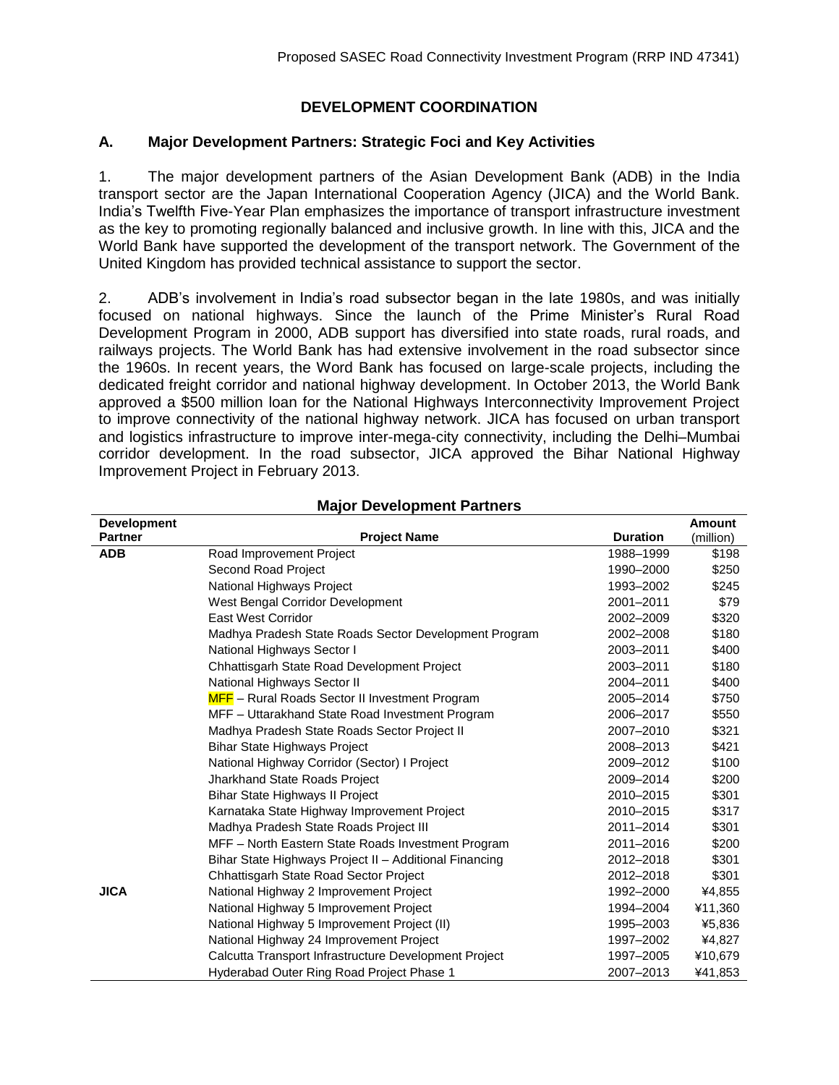# **DEVELOPMENT COORDINATION**

#### **A. Major Development Partners: Strategic Foci and Key Activities**

1. The major development partners of the Asian Development Bank (ADB) in the India transport sector are the Japan International Cooperation Agency (JICA) and the World Bank. India's Twelfth Five-Year Plan emphasizes the importance of transport infrastructure investment as the key to promoting regionally balanced and inclusive growth. In line with this, JICA and the World Bank have supported the development of the transport network. The Government of the United Kingdom has provided technical assistance to support the sector.

2. ADB's involvement in India's road subsector began in the late 1980s, and was initially focused on national highways. Since the launch of the Prime Minister's Rural Road Development Program in 2000, ADB support has diversified into state roads, rural roads, and railways projects. The World Bank has had extensive involvement in the road subsector since the 1960s. In recent years, the Word Bank has focused on large-scale projects, including the dedicated freight corridor and national highway development. In October 2013, the World Bank approved a \$500 million loan for the National Highways Interconnectivity Improvement Project to improve connectivity of the national highway network. JICA has focused on urban transport and logistics infrastructure to improve inter-mega-city connectivity, including the Delhi–Mumbai corridor development. In the road subsector, JICA approved the Bihar National Highway Improvement Project in February 2013.

| <b>Development</b> |                                                        |                 | <b>Amount</b> |
|--------------------|--------------------------------------------------------|-----------------|---------------|
| <b>Partner</b>     | <b>Project Name</b>                                    | <b>Duration</b> | (million)     |
| <b>ADB</b>         | Road Improvement Project                               | 1988-1999       | \$198         |
|                    | Second Road Project                                    | 1990-2000       | \$250         |
|                    | National Highways Project                              | 1993-2002       | \$245         |
|                    | West Bengal Corridor Development                       | 2001-2011       | \$79          |
|                    | East West Corridor                                     | 2002-2009       | \$320         |
|                    | Madhya Pradesh State Roads Sector Development Program  | 2002-2008       | \$180         |
|                    | National Highways Sector I                             | 2003-2011       | \$400         |
|                    | Chhattisgarh State Road Development Project            | 2003-2011       | \$180         |
|                    | National Highways Sector II                            | 2004-2011       | \$400         |
|                    | <b>MFF</b> – Rural Roads Sector II Investment Program  | 2005-2014       | \$750         |
|                    | MFF - Uttarakhand State Road Investment Program        | 2006-2017       | \$550         |
|                    | Madhya Pradesh State Roads Sector Project II           | 2007-2010       | \$321         |
|                    | <b>Bihar State Highways Project</b>                    | 2008-2013       | \$421         |
|                    | National Highway Corridor (Sector) I Project           | 2009-2012       | \$100         |
|                    | Jharkhand State Roads Project                          | 2009-2014       | \$200         |
|                    | Bihar State Highways II Project                        | 2010-2015       | \$301         |
|                    | Karnataka State Highway Improvement Project            | 2010-2015       | \$317         |
|                    | Madhya Pradesh State Roads Project III                 | 2011-2014       | \$301         |
|                    | MFF - North Eastern State Roads Investment Program     | 2011-2016       | \$200         |
|                    | Bihar State Highways Project II - Additional Financing | 2012-2018       | \$301         |
|                    | Chhattisgarh State Road Sector Project                 | 2012-2018       | \$301         |
| <b>JICA</b>        | National Highway 2 Improvement Project                 | 1992-2000       | ¥4,855        |
|                    | National Highway 5 Improvement Project                 | 1994-2004       | ¥11,360       |
|                    | National Highway 5 Improvement Project (II)            | 1995-2003       | ¥5,836        |
|                    | National Highway 24 Improvement Project                | 1997-2002       | ¥4,827        |
|                    | Calcutta Transport Infrastructure Development Project  | 1997-2005       | ¥10,679       |
|                    | Hyderabad Outer Ring Road Project Phase 1              | 2007-2013       | ¥41,853       |

#### **Major Development Partners**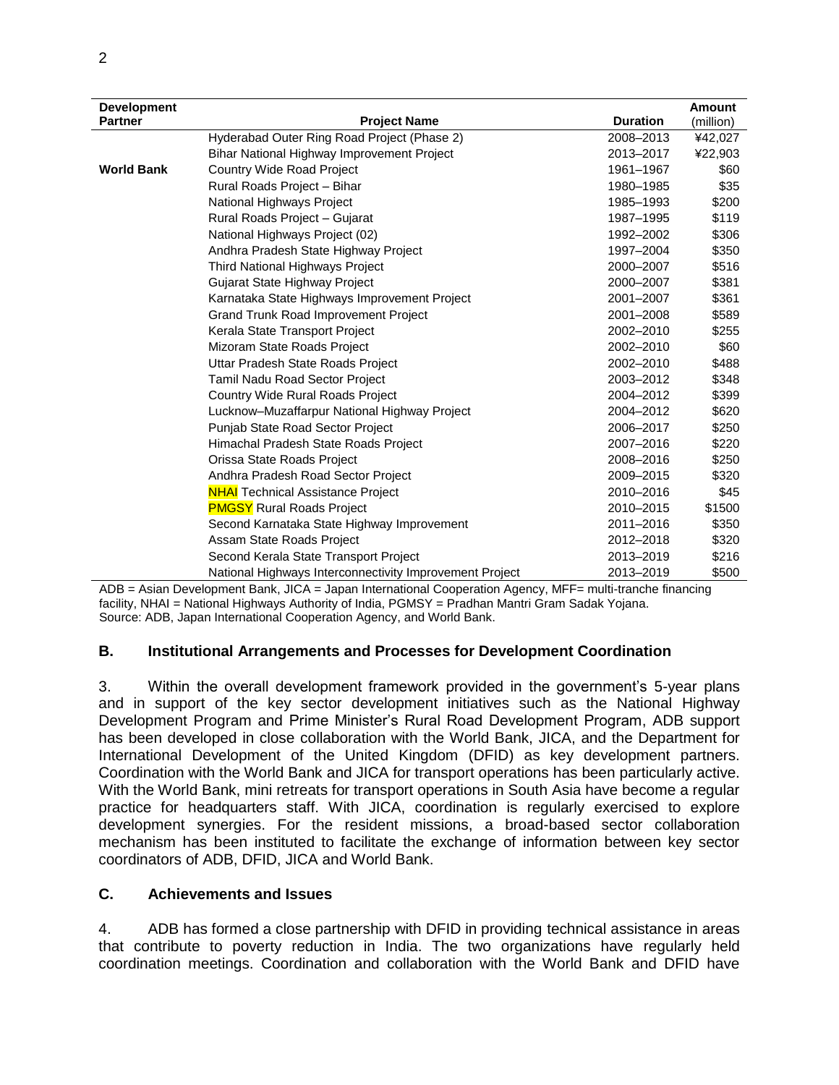| <b>Development</b> |                                                         |                 | <b>Amount</b> |
|--------------------|---------------------------------------------------------|-----------------|---------------|
| <b>Partner</b>     | <b>Project Name</b>                                     | <b>Duration</b> | (million)     |
|                    | Hyderabad Outer Ring Road Project (Phase 2)             | 2008-2013       | ¥42,027       |
|                    | Bihar National Highway Improvement Project              | 2013-2017       | ¥22,903       |
| <b>World Bank</b>  | Country Wide Road Project                               | 1961-1967       | \$60          |
|                    | Rural Roads Project - Bihar                             | 1980-1985       | \$35          |
|                    | National Highways Project                               | 1985-1993       | \$200         |
|                    | Rural Roads Project - Gujarat                           | 1987-1995       | \$119         |
|                    | National Highways Project (02)                          | 1992-2002       | \$306         |
|                    | Andhra Pradesh State Highway Project                    | 1997-2004       | \$350         |
|                    | Third National Highways Project                         | 2000-2007       | \$516         |
|                    | Gujarat State Highway Project                           | 2000-2007       | \$381         |
|                    | Karnataka State Highways Improvement Project            | 2001-2007       | \$361         |
|                    | Grand Trunk Road Improvement Project                    | 2001-2008       | \$589         |
|                    | Kerala State Transport Project                          | 2002-2010       | \$255         |
|                    | Mizoram State Roads Project                             | 2002-2010       | \$60          |
|                    | Uttar Pradesh State Roads Project                       | 2002-2010       | \$488         |
|                    | Tamil Nadu Road Sector Project                          | 2003-2012       | \$348         |
|                    | Country Wide Rural Roads Project                        | 2004-2012       | \$399         |
|                    | Lucknow-Muzaffarpur National Highway Project            | 2004-2012       | \$620         |
|                    | Punjab State Road Sector Project                        | 2006-2017       | \$250         |
|                    | Himachal Pradesh State Roads Project                    | 2007-2016       | \$220         |
|                    | Orissa State Roads Project                              | 2008-2016       | \$250         |
|                    | Andhra Pradesh Road Sector Project                      | 2009-2015       | \$320         |
|                    | <b>NHAI</b> Technical Assistance Project                | 2010-2016       | \$45          |
|                    | <b>PMGSY</b> Rural Roads Project                        | 2010-2015       | \$1500        |
|                    | Second Karnataka State Highway Improvement              | 2011-2016       | \$350         |
|                    | Assam State Roads Project                               | 2012-2018       | \$320         |
|                    | Second Kerala State Transport Project                   | 2013-2019       | \$216         |
|                    | National Highways Interconnectivity Improvement Project | 2013-2019       | \$500         |

ADB = Asian Development Bank, JICA = Japan International Cooperation Agency, MFF= multi-tranche financing facility, NHAI = National Highways Authority of India, PGMSY = Pradhan Mantri Gram Sadak Yojana. Source: ADB, Japan International Cooperation Agency, and World Bank.

## **B. Institutional Arrangements and Processes for Development Coordination**

3. Within the overall development framework provided in the government's 5-year plans and in support of the key sector development initiatives such as the National Highway Development Program and Prime Minister's Rural Road Development Program, ADB support has been developed in close collaboration with the World Bank, JICA, and the Department for International Development of the United Kingdom (DFID) as key development partners. Coordination with the World Bank and JICA for transport operations has been particularly active. With the World Bank, mini retreats for transport operations in South Asia have become a regular practice for headquarters staff. With JICA, coordination is regularly exercised to explore development synergies. For the resident missions, a broad-based sector collaboration mechanism has been instituted to facilitate the exchange of information between key sector coordinators of ADB, DFID, JICA and World Bank.

#### **C. Achievements and Issues**

4. ADB has formed a close partnership with DFID in providing technical assistance in areas that contribute to poverty reduction in India. The two organizations have regularly held coordination meetings. Coordination and collaboration with the World Bank and DFID have